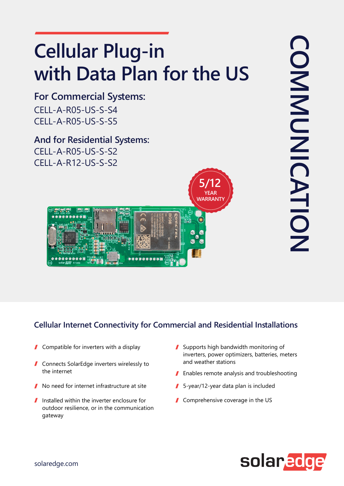# **Cellular Plug-in** with Data Plan for the US

CELL-A-R05-US-S-S4 CELL-A-R05-US-S-S5 **For Commercial Systems:** 

**And for Residential Systems:**  $CELL-A-R05-US-S-S2$  $CELL-A-R12-US-S-S2$ 

#### **Cellular Internet Connectivity for Commercial and Residential Installations**

- Compatible for inverters with a display  $\sqrt{2}$
- $\blacksquare$  Connects SolarEdge inverters wirelessly to the internet
- No need for internet infrastructure at site
- $\blacksquare$  Installed within the inverter enclosure for outdoor resilience, or in the communication gateway
- $\blacksquare$  Supports high bandwidth monitoring of inverters, power optimizers, batteries, meters and weather stations
- $\blacksquare$  Enables remote analysis and troubleshooting
- $\blacksquare$  5-year/12-year data plan is included

**5/12 YEAR WARRANTY**

 $\blacksquare$  Comprehensive coverage in the US

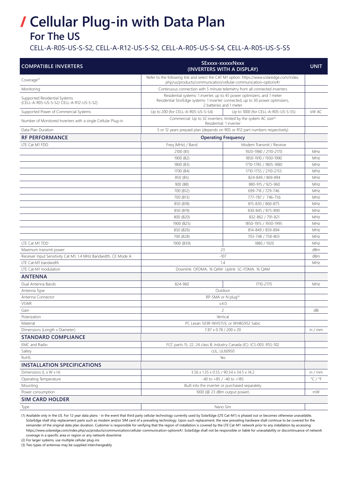## **For The US / Cellular Plug-in with Data Plan**

CELL-A-R05-US-S-S2, CELL-A-R12-US-S-S2, CELL-A-R05-US-S-S4, CELL-A-R05-US-S-S5

| <b>COMPATIBLE INVERTERS</b>                                               | SExxxx-xxxxxNxxx<br>(INVERTERS WITH A DISPLAY)                                                                                                               |                                                                            | <b>UNIT</b>                 |
|---------------------------------------------------------------------------|--------------------------------------------------------------------------------------------------------------------------------------------------------------|----------------------------------------------------------------------------|-----------------------------|
| Coverage <sup>(1)</sup>                                                   | Refer to the following link and select the CAT M1 option: https://www.solaredge.com/index.<br>php/us/products/communication/cellular-communication-options#/ |                                                                            |                             |
| Monitoring                                                                |                                                                                                                                                              | Continuous connection with 5 minute telemetry from all connected inverters |                             |
| Supported Residential Systems<br>(CELL-A-R05-US-S-S2/ CELL-A-R12-US-S-S2) | Residential systems: 1 inverter, up to 45 power optimizers, and 1 meter<br>Residential StorEdge systems: 1 inverter connected, up to 30 power optimizers,    |                                                                            |                             |
|                                                                           |                                                                                                                                                              | 2 batteries and 1 meter                                                    |                             |
| Supported Power of Commercial Systems                                     | Up to 200 (for CELL-A-R05-US-S-S4)                                                                                                                           | Up to 1000 (for CELL-A-R05-US-S-S5)                                        | kW AC                       |
| Number of Monitored Inverters with a single Cellular Plug-in              | Commercial: Up to 32 inverters, limited by the system AC size <sup>(2)</sup><br>Residential: 1 inverter                                                      |                                                                            |                             |
| Data Plan Duration                                                        | 5 or 12 years prepaid plan (depends on R05 or R12 part numbers respectively)                                                                                 |                                                                            |                             |
| <b>RF PERFORMANCE</b>                                                     | <b>Operating Frequency</b>                                                                                                                                   |                                                                            |                             |
| LTE Cat M1 FDD                                                            | Freq (MHz) / Band                                                                                                                                            | Modem Transmit / Receive                                                   |                             |
|                                                                           | 2100 (B1)                                                                                                                                                    | 1920-1980 / 2110-2170                                                      | MHz                         |
|                                                                           | 1900 (B2)                                                                                                                                                    | 1850-1910 / 1930-1990                                                      | MHz                         |
|                                                                           | 1800 (B3)                                                                                                                                                    | 1710-1785 / 1805-1880                                                      | MHz                         |
|                                                                           | 1700 (B4)                                                                                                                                                    | 1710-1755 / 2110-2155                                                      | MHz                         |
|                                                                           | 850 (B5)                                                                                                                                                     | 824-849 / 869-894                                                          | MHz                         |
|                                                                           | 900 (B8)                                                                                                                                                     | 880-915 / 925-960                                                          | MHz                         |
|                                                                           | 700 (B12)                                                                                                                                                    | 699-716 / 729-746                                                          | MHz                         |
|                                                                           | 700 (B13)                                                                                                                                                    | 777-787 / 746-756                                                          | MHz                         |
|                                                                           | 850 (B18)                                                                                                                                                    | 815-830 / 860-875                                                          | MHz                         |
|                                                                           | 850 (B19)                                                                                                                                                    | 830-845 / 875-890                                                          | MHz                         |
|                                                                           | 800 (B20)                                                                                                                                                    | 832-862 / 791-821                                                          | MHz                         |
|                                                                           | 1900 (B25)                                                                                                                                                   | 1850-1915 / 1930-1995                                                      | MHz                         |
|                                                                           | 850 (B26)                                                                                                                                                    | 814-849 / 859-894                                                          | MHz                         |
|                                                                           | 700 (B28)                                                                                                                                                    | 703-748 / 758-803                                                          | MHz                         |
| LTE Cat M1 TDD                                                            | 1900 (B39)                                                                                                                                                   | 1880 / 1920                                                                | MHz                         |
| Maximum transmit power                                                    |                                                                                                                                                              | 23                                                                         | dBm                         |
| Receiver Input Sensitivity Cat M1, 1.4 MHz Bandwidth, CE Mode A           | $-107$                                                                                                                                                       |                                                                            | dBm                         |
| LTE Cat-M1 bandwidth                                                      | 1.4                                                                                                                                                          |                                                                            | MHz                         |
| LTE Cat-M1 modulation                                                     | Downlink: OFDMA, 16 QAM Uplink: SC-FDMA, 16 QAM                                                                                                              |                                                                            |                             |
| <b>ANTENNA</b>                                                            |                                                                                                                                                              |                                                                            |                             |
| Dual Antenna Bands                                                        | 824-960                                                                                                                                                      | 1710-2170                                                                  | MHz                         |
| Antenna Type                                                              |                                                                                                                                                              | Outdoor                                                                    |                             |
| Antenna Connector                                                         | RP-SMA or N plug(3)                                                                                                                                          |                                                                            |                             |
| <b>VSWR</b>                                                               | $\leq 4.0$                                                                                                                                                   |                                                                            |                             |
| Gain                                                                      | 2                                                                                                                                                            |                                                                            | dBi                         |
| Polarization                                                              | Vertical                                                                                                                                                     |                                                                            |                             |
| Material                                                                  | PC Lexan 503R-WH5151L or WH8G952 Sabic                                                                                                                       |                                                                            |                             |
| Dimensions (Length x Diameter)                                            | 7.87 x 0.78 / 200 x 20                                                                                                                                       |                                                                            | in / $mm$                   |
| <b>STANDARD COMPLIANCE</b>                                                |                                                                                                                                                              |                                                                            |                             |
| <b>EMC</b> and Radio                                                      |                                                                                                                                                              |                                                                            |                             |
|                                                                           | FCC parts 15, 22, 24 class B; Industry Canada (IC): ICS-003, RSS-102                                                                                         |                                                                            |                             |
| Safety                                                                    | cUL, UL60950<br>Yes                                                                                                                                          |                                                                            |                             |
| RoHS<br><b>INSTALLATION SPECIFICATIONS</b>                                |                                                                                                                                                              |                                                                            |                             |
|                                                                           |                                                                                                                                                              |                                                                            |                             |
| Dimensions (L x W x H)                                                    | 3.56 x 1.35 x 0.55 / 90.54 x 34.5 x 14.2                                                                                                                     |                                                                            | in / $mm$                   |
| Operating Temperature                                                     | $-40$ to $+85$ / $-40$ to $+185$                                                                                                                             |                                                                            | $^{\circ}$ C / $^{\circ}$ F |
| Mounting                                                                  | Built into the inverter or purchased separately                                                                                                              |                                                                            |                             |
| Power consumption                                                         |                                                                                                                                                              | 1000 (@ 23 dBm output power)                                               | mW                          |
| <b>SIM CARD HOLDER</b>                                                    |                                                                                                                                                              |                                                                            |                             |
| Type                                                                      |                                                                                                                                                              | Nano Sim                                                                   |                             |

(1) Available only in the US. For 12 year data plans - in the event that third party cellular technology currently used by SolarEdge (LTE Cat-M1) is phased out or becomes otherwise unavailable, SolarEdge shall ship replacement parts such as modem and/or SIM card of a prevailing technology. Upon such replacement, the new prevailing hardware shall continue to be covered for the remainder of the original data plan duration. Customer is responsible for verifying that the region of installation is covered by the LTE Cat-M1 network prior to any installation by accessing: https://www.solaredge.com/index.php/us/products/communication/cellular-communication-options[#/](https://www.solaredge.com/index.php/us/products/communication/cellular-communication-options#/). SolarEdge shall not be responsible or liable for unavailability or discontinuance of network coverage in a specific area or region or any network downtime

(2) For larger systems, use multiple cellular plug-ins

(3) Two types of antennas may be supplied interchangeably